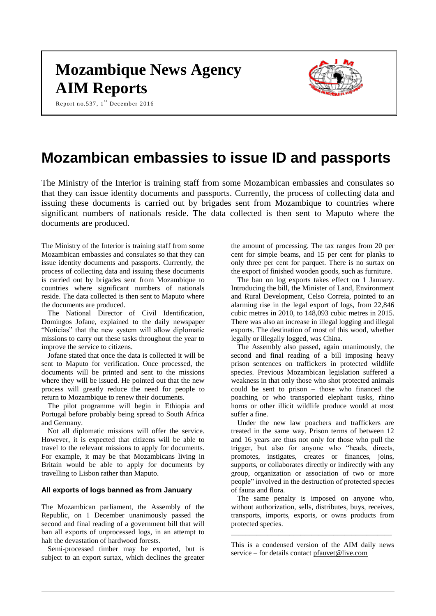# **Mozambique News Agency AIM Reports**

Report no.537,  $1^{st}$  December 2016



## **Mozambican embassies to issue ID and passports**

The Ministry of the Interior is training staff from some Mozambican embassies and consulates so that they can issue identity documents and passports. Currently, the process of collecting data and issuing these documents is carried out by brigades sent from Mozambique to countries where significant numbers of nationals reside. The data collected is then sent to Maputo where the documents are produced.

The Ministry of the Interior is training staff from some Mozambican embassies and consulates so that they can issue identity documents and passports. Currently, the process of collecting data and issuing these documents is carried out by brigades sent from Mozambique to countries where significant numbers of nationals reside. The data collected is then sent to Maputo where the documents are produced.

The National Director of Civil Identification, Domingos Jofane, explained to the daily newspaper "Noticias" that the new system will allow diplomatic missions to carry out these tasks throughout the year to improve the service to citizens.

Jofane stated that once the data is collected it will be sent to Maputo for verification. Once processed, the documents will be printed and sent to the missions where they will be issued. He pointed out that the new process will greatly reduce the need for people to return to Mozambique to renew their documents.

The pilot programme will begin in Ethiopia and Portugal before probably being spread to South Africa and Germany.

Not all diplomatic missions will offer the service. However, it is expected that citizens will be able to travel to the relevant missions to apply for documents. For example, it may be that Mozambicans living in Britain would be able to apply for documents by travelling to Lisbon rather than Maputo.

#### **All exports of logs banned as from January**

The Mozambican parliament, the Assembly of the Republic, on 1 December unanimously passed the second and final reading of a government bill that will ban all exports of unprocessed logs, in an attempt to halt the devastation of hardwood forests.

Semi-processed timber may be exported, but is subject to an export surtax, which declines the greater the amount of processing. The tax ranges from 20 per cent for simple beams, and 15 per cent for planks to only three per cent for parquet. There is no surtax on the export of finished wooden goods, such as furniture.

The ban on log exports takes effect on 1 January. Introducing the bill, the Minister of Land, Environment and Rural Development, Celso Correia, pointed to an alarming rise in the legal export of logs, from 22,846 cubic metres in 2010, to 148,093 cubic metres in 2015. There was also an increase in illegal logging and illegal exports. The destination of most of this wood, whether legally or illegally logged, was China.

The Assembly also passed, again unanimously, the second and final reading of a bill imposing heavy prison sentences on traffickers in protected wildlife species. Previous Mozambican legislation suffered a weakness in that only those who shot protected animals could be sent to prison – those who financed the poaching or who transported elephant tusks, rhino horns or other illicit wildlife produce would at most suffer a fine.

Under the new law poachers and traffickers are treated in the same way. Prison terms of between 12 and 16 years are thus not only for those who pull the trigger, but also for anyone who "heads, directs, promotes, instigates, creates or finances, joins, supports, or collaborates directly or indirectly with any group, organization or association of two or more people" involved in the destruction of protected species of fauna and flora.

The same penalty is imposed on anyone who, without authorization, sells, distributes, buys, receives, transports, imports, exports, or owns products from protected species.

This is a condensed version of the AIM daily news service – for details contact [pfauvet@live.com](mailto:pfauvet@live.com)

\_\_\_\_\_\_\_\_\_\_\_\_\_\_\_\_\_\_\_\_\_\_\_\_\_\_\_\_\_\_\_\_\_\_\_\_\_\_\_\_\_\_\_\_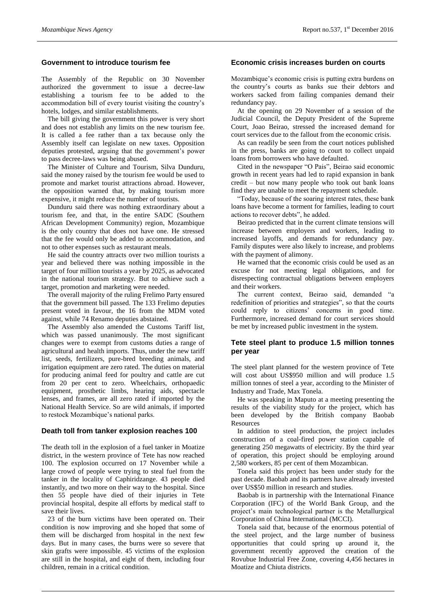## **Government to introduce tourism fee**

The Assembly of the Republic on 30 November authorized the government to issue a decree-law establishing a tourism fee to be added to the accommodation bill of every tourist visiting the country's hotels, lodges, and similar establishments.

The bill giving the government this power is very short and does not establish any limits on the new tourism fee. It is called a fee rather than a tax because only the Assembly itself can legislate on new taxes. Opposition deputies protested, arguing that the government's power to pass decree-laws was being abused.

The Minister of Culture and Tourism, Silva Dunduru, said the money raised by the tourism fee would be used to promote and market tourist attractions abroad. However, the opposition warned that, by making tourism more expensive, it might reduce the number of tourists.

Dunduru said there was nothing extraordinary about a tourism fee, and that, in the entire SADC (Southern African Development Community) region, Mozambique is the only country that does not have one. He stressed that the fee would only be added to accommodation, and not to other expenses such as restaurant meals.

He said the country attracts over two million tourists a year and believed there was nothing impossible in the target of four million tourists a year by 2025, as advocated in the national tourism strategy. But to achieve such a target, promotion and marketing were needed.

The overall majority of the ruling Frelimo Party ensured that the government bill passed. The 133 Frelimo deputies present voted in favour, the 16 from the MDM voted against, while 74 Renamo deputies abstained.

The Assembly also amended the Customs Tariff list, which was passed unanimously. The most significant changes were to exempt from customs duties a range of agricultural and health imports. Thus, under the new tariff list, seeds, fertilizers, pure-bred breeding animals, and irrigation equipment are zero rated. The duties on material for producing animal feed for poultry and cattle are cut from 20 per cent to zero. Wheelchairs, orthopaedic equipment, prosthetic limbs, hearing aids, spectacle lenses, and frames, are all zero rated if imported by the National Health Service. So are wild animals, if imported to restock Mozambique's national parks.

#### **Death toll from tanker explosion reaches 100**

The death toll in the explosion of a fuel tanker in Moatize district, in the western province of Tete has now reached 100. The explosion occurred on 17 November while a large crowd of people were trying to steal fuel from the tanker in the locality of Caphiridzange. 43 people died instantly, and two more on their way to the hospital. Since then 55 people have died of their injuries in Tete provincial hospital, despite all efforts by medical staff to save their lives.

23 of the burn victims have been operated on. Their condition is now improving and she hoped that some of them will be discharged from hospital in the next few days. But in many cases, the burns were so severe that skin grafts were impossible. 45 victims of the explosion are still in the hospital, and eight of them, including four children, remain in a critical condition.

#### **Economic crisis increases burden on courts**

Mozambique's economic crisis is putting extra burdens on the country's courts as banks sue their debtors and workers sacked from failing companies demand their redundancy pay.

At the opening on 29 November of a session of the Judicial Council, the Deputy President of the Supreme Court, Joao Beirao, stressed the increased demand for court services due to the fallout from the economic crisis.

As can readily be seen from the court notices published in the press, banks are going to court to collect unpaid loans from borrowers who have defaulted.

Cited in the newspaper "O Pais", Beirao said economic growth in recent years had led to rapid expansion in bank credit – but now many people who took out bank loans find they are unable to meet the repayment schedule.

"Today, because of the soaring interest rates, these bank loans have become a torment for families, leading to court actions to recover debts", he added.

Beirao predicted that in the current climate tensions will increase between employers and workers, leading to increased layoffs, and demands for redundancy pay. Family disputes were also likely to increase, and problems with the payment of alimony.

He warned that the economic crisis could be used as an excuse for not meeting legal obligations, and for disrespecting contractual obligations between employers and their workers.

The current context, Beirao said, demanded "a redefinition of priorities and strategies", so that the courts could reply to citizens' concerns in good time. Furthermore, increased demand for court services should be met by increased public investment in the system.

## **Tete steel plant to produce 1.5 million tonnes per year**

The steel plant planned for the western province of Tete will cost about US\$950 million and will produce 1.5 million tonnes of steel a year, according to the Minister of Industry and Trade, Max Tonela.

He was speaking in Maputo at a meeting presenting the results of the viability study for the project, which has been developed by the British company Baobab **Resources** 

In addition to steel production, the project includes construction of a coal-fired power station capable of generating 250 megawatts of electricity. By the third year of operation, this project should be employing around 2,580 workers, 85 per cent of them Mozambican.

Tonela said this project has been under study for the past decade. Baobab and its partners have already invested over US\$50 million in research and studies.

Baobab is in partnership with the International Finance Corporation (IFC) of the World Bank Group, and the project's main technological partner is the Metallurgical Corporation of China International (MCCI).

Tonela said that, because of the enormous potential of the steel project, and the large number of business opportunities that could spring up around it, the government recently approved the creation of the Rovubue Industrial Free Zone, covering 4,456 hectares in Moatize and Chiuta districts.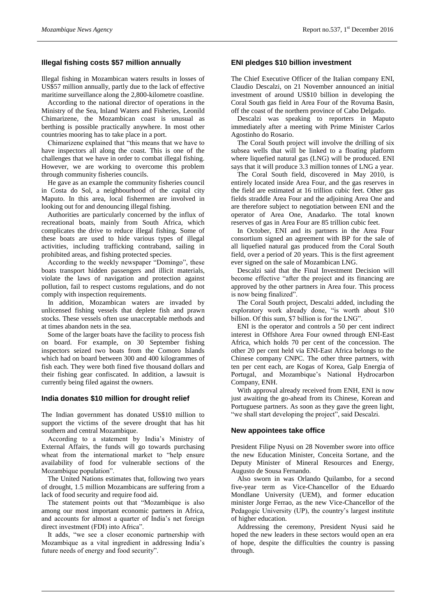## **Illegal fishing costs \$57 million annually**

Illegal fishing in Mozambican waters results in losses of US\$57 million annually, partly due to the lack of effective maritime surveillance along the 2,800-kilometre coastline.

According to the national director of operations in the Ministry of the Sea, Inland Waters and Fisheries, Leonild Chimarizene, the Mozambican coast is unusual as berthing is possible practically anywhere. In most other countries mooring has to take place in a port.

Chimarizene explained that "this means that we have to have inspectors all along the coast. This is one of the challenges that we have in order to combat illegal fishing. However, we are working to overcome this problem through community fisheries councils.

He gave as an example the community fisheries council in Costa do Sol, a neighbourhood of the capital city Maputo. In this area, local fishermen are involved in looking out for and denouncing illegal fishing.

Authorities are particularly concerned by the influx of recreational boats, mainly from South Africa, which complicates the drive to reduce illegal fishing. Some of these boats are used to hide various types of illegal activities, including trafficking contraband, sailing in prohibited areas, and fishing protected species.

According to the weekly newspaper "Domingo", these boats transport hidden passengers and illicit materials, violate the laws of navigation and protection against pollution, fail to respect customs regulations, and do not comply with inspection requirements.

In addition, Mozambican waters are invaded by unlicensed fishing vessels that deplete fish and prawn stocks. These vessels often use unacceptable methods and at times abandon nets in the sea.

Some of the larger boats have the facility to process fish on board. For example, on 30 September fishing inspectors seized two boats from the Comoro Islands which had on board between 300 and 400 kilogrammes of fish each. They were both fined five thousand dollars and their fishing gear confiscated. In addition, a lawsuit is currently being filed against the owners.

#### **India donates \$10 million for drought relief**

The Indian government has donated US\$10 million to support the victims of the severe drought that has hit southern and central Mozambique.

According to a statement by India's Ministry of External Affairs, the funds will go towards purchasing wheat from the international market to "help ensure availability of food for vulnerable sections of the Mozambique population".

The United Nations estimates that, following two years of drought, 1.5 million Mozambicans are suffering from a lack of food security and require food aid.

The statement points out that "Mozambique is also among our most important economic partners in Africa, and accounts for almost a quarter of India's net foreign direct investment (FDI) into Africa".

It adds, "we see a closer economic partnership with Mozambique as a vital ingredient in addressing India's future needs of energy and food security".

#### **ENI pledges \$10 billion investment**

The Chief Executive Officer of the Italian company ENI, Claudio Descalzi, on 21 November announced an initial investment of around US\$10 billion in developing the Coral South gas field in Area Four of the Rovuma Basin, off the coast of the northern province of Cabo Delgado.

Descalzi was speaking to reporters in Maputo immediately after a meeting with Prime Minister Carlos Agostinho do Rosario.

The Coral South project will involve the drilling of six subsea wells that will be linked to a floating platform where liquefied natural gas (LNG) will be produced. ENI says that it will produce 3.3 million tonnes of LNG a year.

The Coral South field, discovered in May 2010, is entirely located inside Area Four, and the gas reserves in the field are estimated at 16 trillion cubic feet. Other gas fields straddle Area Four and the adjoining Area One and are therefore subject to negotiation between ENI and the operator of Area One, Anadarko. The total known reserves of gas in Area Four are 85 trillion cubic feet.

In October, ENI and its partners in the Area Four consortium signed an agreement with BP for the sale of all liquefied natural gas produced from the Coral South field, over a period of 20 years. This is the first agreement ever signed on the sale of Mozambican LNG.

Descalzi said that the Final Investment Decision will become effective "after the project and its financing are approved by the other partners in Area four. This process is now being finalized".

The Coral South project, Descalzi added, including the exploratory work already done, "is worth about \$10 billion. Of this sum, \$7 billion is for the LNG".

ENI is the operator and controls a 50 per cent indirect interest in Offshore Area Four owned through ENI-East Africa, which holds 70 per cent of the concession. The other 20 per cent held via ENI-East Africa belongs to the Chinese company CNPC. The other three partners, with ten per cent each, are Kogas of Korea, Galp Energia of Portugal, and Mozambique's National Hydrocarbon Company, ENH.

With approval already received from ENH, ENI is now just awaiting the go-ahead from its Chinese, Korean and Portuguese partners. As soon as they gave the green light, "we shall start developing the project", said Descalzi.

#### **New appointees take office**

President Filipe Nyusi on 28 November swore into office the new Education Minister, Conceita Sortane, and the Deputy Minister of Mineral Resources and Energy, Augusto de Sousa Fernando.

Also sworn in was Orlando Quilambo, for a second five-year term as Vice-Chancellor of the Eduardo Mondlane University (UEM), and former education minister Jorge Ferrao, as the new Vice-Chancellor of the Pedagogic University (UP), the country's largest institute of higher education.

Addressing the ceremony, President Nyusi said he hoped the new leaders in these sectors would open an era of hope, despite the difficulties the country is passing through.